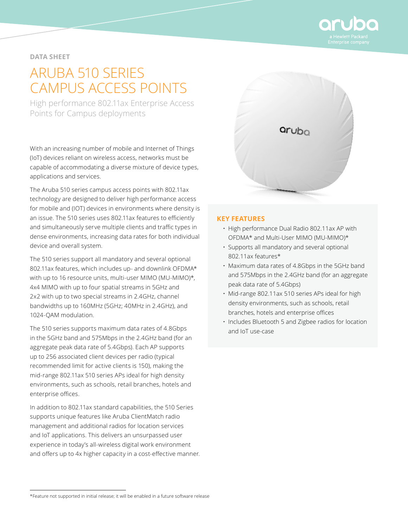

## **DATA SHEET**

# ARUBA 510 SERIES CAMPUS ACCESS POINTS

High performance 802.11ax Enterprise Access Points for Campus deployments

With an increasing number of mobile and Internet of Things (IoT) devices reliant on wireless access, networks must be capable of accommodating a diverse mixture of device types, applications and services.

The Aruba 510 series campus access points with 802.11ax technology are designed to deliver high performance access for mobile and (IOT) devices in environments where density is an issue. The 510 series uses 802.11ax features to efficiently and simultaneously serve multiple clients and traffic types in dense environments, increasing data rates for both individual device and overall system.

The 510 series support all mandatory and several optional 802.11ax features, which includes up- and downlink OFDMA\* with up to 16 resource units, multi-user MIMO (MU-MIMO)\*, 4x4 MIMO with up to four spatial streams in 5GHz and 2x2 with up to two special streams in 2.4GHz, channel bandwidths up to 160MHz (5GHz; 40MHz in 2.4GHz), and 1024-QAM modulation.

The 510 series supports maximum data rates of 4.8Gbps in the 5GHz band and 575Mbps in the 2.4GHz band (for an aggregate peak data rate of 5.4Gbps). Each AP supports up to 256 associated client devices per radio (typical recommended limit for active clients is 150), making the mid-range 802.11ax 510 series APs ideal for high density environments, such as schools, retail branches, hotels and enterprise offices.

In addition to 802.11ax standard capabilities, the 510 Series supports unique features like Aruba ClientMatch radio management and additional radios for location services and IoT applications. This delivers an unsurpassed user experience in today's all-wireless digital work environment and offers up to 4x higher capacity in a cost-effective manner.



## **KEY FEATURES**

- High performance Dual Radio 802.11ax AP with OFDMA\* and Multi-User MIMO (MU-MIMO)\*
- Supports all mandatory and several optional 802.11ax features\*
- Maximum data rates of 4.8Gbps in the 5GHz band and 575Mbps in the 2.4GHz band (for an aggregate peak data rate of 5.4Gbps)
- Mid-range 802.11ax 510 series APs ideal for high density environments, such as schools, retail branches, hotels and enterprise offices
- Includes Bluetooth 5 and Zigbee radios for location and IoT use-case

<sup>\*</sup>Feature not supported in initial release; it will be enabled in a future software release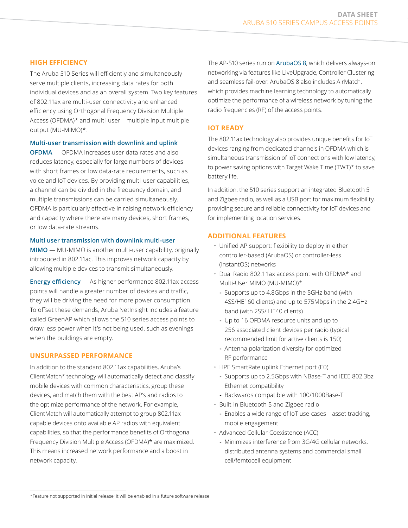## **HIGH EFFICIENCY**

The Aruba 510 Series will efficiently and simultaneously serve multiple clients, increasing data rates for both individual devices and as an overall system. Two key features of 802.11ax are multi-user connectivity and enhanced efficiency using Orthogonal Frequency Division Multiple Access (OFDMA)\* and multi-user – multiple input multiple output (MU-MIMO)\*.

#### **Multi-user transmission with downlink and uplink**

**OFDMA** — OFDMA increases user data rates and also reduces latency, especially for large numbers of devices with short frames or low data-rate requirements, such as voice and IoT devices. By providing multi-user capabilities, a channel can be divided in the frequency domain, and multiple transmissions can be carried simultaneously. OFDMA is particularly effective in raising network efficiency and capacity where there are many devices, short frames, or low data-rate streams.

#### **Multi user transmission with downlink multi-user**

**MIMO** — MU-MIMO is another multi-user capability, originally introduced in 802.11ac. This improves network capacity by allowing multiple devices to transmit simultaneously.

**Energy efficiency** — As higher performance 802.11ax access points will handle a greater number of devices and traffic, they will be driving the need for more power consumption. To offset these demands, Aruba NetInsight includes a feature called GreenAP which allows the 510 series access points to draw less power when it's not being used, such as evenings when the buildings are empty.

#### **UNSURPASSED PERFORMANCE**

In addition to the standard 802.11ax capabilities, Aruba's ClientMatch\* technology will automatically detect and classify mobile devices with common characteristics, group these devices, and match them with the best AP's and radios to the optimize performance of the network. For example, ClientMatch will automatically attempt to group 802.11ax capable devices onto available AP radios with equivalent capabilities, so that the performance benefits of Orthogonal Frequency Division Multiple Access (OFDMA)\* are maximized. This means increased network performance and a boost in network capacity.

The AP-510 series run on [ArubaOS 8](https://www.arubanetworks.com/assets/ds/DS_ArubaOS8.pdf), which delivers always-on networking via features like LiveUpgrade, Controller Clustering and seamless fail-over. ArubaOS 8 also includes AirMatch, which provides machine learning technology to automatically optimize the performance of a wireless network by tuning the radio frequencies (RF) of the access points.

## **IOT READY**

The 802.11ax technology also provides unique benefits for IoT devices ranging from dedicated channels in OFDMA which is simultaneous transmission of IoT connections with low latency, to power saving options with Target Wake Time (TWT)\* to save battery life.

In addition, the 510 series support an integrated Bluetooth 5 and Zigbee radio, as well as a USB port for maximum flexibility, providing secure and reliable connectivity for IoT devices and for implementing location services.

## **ADDITIONAL FEATURES**

- Unified AP support: flexibility to deploy in either controller-based (ArubaOS) or controller-less (InstantOS) networks
- Dual Radio 802.11ax access point with OFDMA\* and Multi-User MIMO (MU-MIMO)\*
	- **-** Supports up to 4.8Gbps in the 5GHz band (with 4SS/HE160 clients) and up to 575Mbps in the 2.4GHz band (with 2SS/ HE40 clients)
	- **-** Up to 16 OFDMA resource units and up to 256 associated client devices per radio (typical recommended limit for active clients is 150)
	- **-** Antenna polarization diversity for optimized RF performance
- HPE SmartRate uplink Ethernet port (E0)
	- **-** Supports up to 2.5Gbps with NBase-T and IEEE 802.3bz Ethernet compatibility
	- **-** Backwards compatible with 100/1000Base-T
- Built-in Bluetooth 5 and Zigbee radio
	- **-** Enables a wide range of IoT use-cases asset tracking, mobile engagement
- Advanced Cellular Coexistence (ACC)
	- **-** Minimizes interference from 3G/4G cellular networks, distributed antenna systems and commercial small cell/femtocell equipment

<sup>\*</sup>Feature not supported in initial release; it will be enabled in a future software release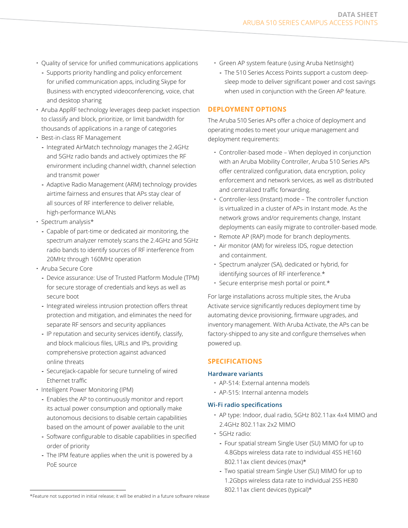- Quality of service for unified communications applications
	- **-** Supports priority handling and policy enforcement for unified communication apps, including Skype for Business with encrypted videoconferencing, voice, chat and desktop sharing
- Aruba AppRF technology leverages deep packet inspection to classify and block, prioritize, or limit bandwidth for thousands of applications in a range of categories
- Best-in-class RF Management
	- **-** Integrated AirMatch technology manages the 2.4GHz and 5GHz radio bands and actively optimizes the RF environment including channel width, channel selection and transmit power
	- **-** Adaptive Radio Management (ARM) technology provides airtime fairness and ensures that APs stay clear of all sources of RF interference to deliver reliable, high-performance WLANs
- Spectrum analysis\*
	- **-** Capable of part-time or dedicated air monitoring, the spectrum analyzer remotely scans the 2.4GHz and 5GHz radio bands to identify sources of RF interference from 20MHz through 160MHz operation
- Aruba Secure Core
	- **-** Device assurance: Use of Trusted Platform Module (TPM) for secure storage of credentials and keys as well as secure boot
	- **-** Integrated wireless intrusion protection offers threat protection and mitigation, and eliminates the need for separate RF sensors and security appliances
	- **-** IP reputation and security services identify, classify, and block malicious files, URLs and IPs, providing comprehensive protection against advanced online threats
	- **-** SecureJack-capable for secure tunneling of wired Ethernet traffic
- Intelligent Power Monitoring (IPM)
	- **-** Enables the AP to continuously monitor and report its actual power consumption and optionally make autonomous decisions to disable certain capabilities based on the amount of power available to the unit
	- **-** Software configurable to disable capabilities in specified order of priority
	- **-** The IPM feature applies when the unit is powered by a PoE source
- Green AP system feature (using Aruba NetInsight)
	- **-** The 510 Series Access Points support a custom deepsleep mode to deliver significant power and cost savings when used in conjunction with the Green AP feature.

## **DEPLOYMENT OPTIONS**

The Aruba 510 Series APs offer a choice of deployment and operating modes to meet your unique management and deployment requirements:

- Controller-based mode When deployed in conjunction with an Aruba Mobility Controller, Aruba 510 Series APs offer centralized configuration, data encryption, policy enforcement and network services, as well as distributed and centralized traffic forwarding.
- Controller-less (Instant) mode The controller function is virtualized in a cluster of APs in Instant mode. As the network grows and/or requirements change, Instant deployments can easily migrate to controller-based mode.
- Remote AP (RAP) mode for branch deployments.
- Air monitor (AM) for wireless IDS, rogue detection and containment.
- Spectrum analyzer (SA), dedicated or hybrid, for identifying sources of RF interference.\*
- Secure enterprise mesh portal or point.\*

For large installations across multiple sites, the Aruba Activate service significantly reduces deployment time by automating device provisioning, firmware upgrades, and inventory management. With Aruba Activate, the APs can be factory-shipped to any site and configure themselves when powered up.

## **SPECIFICATIONS**

#### **Hardware variants**

- AP-514: External antenna models
- AP-515: Internal antenna models

#### **Wi-Fi radio specifications**

- AP type: Indoor, dual radio, 5GHz 802.11ax 4x4 MIMO and 2.4GHz 802.11ax 2x2 MIMO
- 5GHz radio:
	- **-** Four spatial stream Single User (SU) MIMO for up to 4.8Gbps wireless data rate to individual 4SS HE160 802.11ax client devices (max)\*
- **-** Two spatial stream Single User (SU) MIMO for up to 1.2Gbps wireless data rate to individual 2SS HE80 802.11ax client devices (typical)\*

<sup>\*</sup>Feature not supported in initial release; it will be enabled in a future software release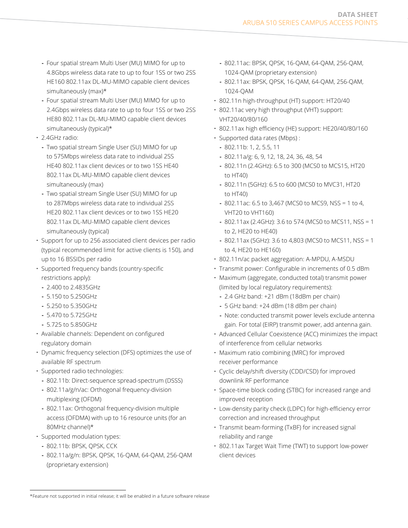- **-** Four spatial stream Multi User (MU) MIMO for up to 4.8Gbps wireless data rate to up to four 1SS or two 2SS HE160 802.11ax DL-MU-MIMO capable client devices simultaneously (max)\*
- **-** Four spatial stream Multi User (MU) MIMO for up to 2.4Gbps wireless data rate to up to four 1SS or two 2SS HE80 802.11ax DL-MU-MIMO capable client devices simultaneously (typical)\*
- 2.4GHz radio:
	- **-** Two spatial stream Single User (SU) MIMO for up to 575Mbps wireless data rate to individual 2SS HE40 802.11ax client devices or to two 1SS HE40 802.11ax DL-MU-MIMO capable client devices simultaneously (max)
	- **-** Two spatial stream Single User (SU) MIMO for up to 287Mbps wireless data rate to individual 2SS HE20 802.11ax client devices or to two 1SS HE20 802.11ax DL-MU-MIMO capable client devices simultaneously (typical)
- Support for up to 256 associated client devices per radio (typical recommended limit for active clients is 150), and up to 16 BSSIDs per radio
- Supported frequency bands (country-specific restrictions apply):
- **-** 2.400 to 2.4835GHz
- **-** 5.150 to 5.250GHz
- **-** 5.250 to 5.350GHz
- **-** 5.470 to 5.725GHz
- **-** 5.725 to 5.850GHz
- Available channels: Dependent on configured regulatory domain
- Dynamic frequency selection (DFS) optimizes the use of available RF spectrum
- Supported radio technologies:
	- **-** 802.11b: Direct-sequence spread-spectrum (DSSS)
	- **-** 802.11a/g/n/ac: Orthogonal frequency-division multiplexing (OFDM)
	- **-** 802.11ax: Orthogonal frequency-division multiple access (OFDMA) with up to 16 resource units (for an 80MHz channel)\*
- Supported modulation types:
	- **-** 802.11b: BPSK, QPSK, CCK
	- **-** 802.11a/g/n: BPSK, QPSK, 16-QAM, 64-QAM, 256-QAM (proprietary extension)
- **-** 802.11ac: BPSK, QPSK, 16-QAM, 64-QAM, 256-QAM, 1024-QAM (proprietary extension)
- **-** 802.11ax: BPSK, QPSK, 16-QAM, 64-QAM, 256-QAM, 1024-QAM
- 802.11n high-throughput (HT) support: HT20/40
- 802.11ac very high throughput (VHT) support: VHT20/40/80/160
- 802.11ax high efficiency (HE) support: HE20/40/80/160
- Supported data rates (Mbps) :
	- **-** 802.11b: 1, 2, 5.5, 11
	- **-** 802.11a/g: 6, 9, 12, 18, 24, 36, 48, 54
	- **-** 802.11n (2.4GHz): 6.5 to 300 (MCS0 to MCS15, HT20 to HT40)
	- **-** 802.11n (5GHz): 6.5 to 600 (MCS0 to MVC31, HT20 to HT40)
	- **-** 802.11ac: 6.5 to 3,467 (MCS0 to MCS9, NSS = 1 to 4, VHT20 to VHT160)
	- **-** 802.11ax (2.4GHz): 3.6 to 574 (MCS0 to MCS11, NSS = 1 to 2, HE20 to HE40)
	- **-** 802.11ax (5GHz): 3.6 to 4,803 (MCS0 to MCS11, NSS = 1 to 4, HE20 to HE160)
- 802.11n/ac packet aggregation: A-MPDU, A-MSDU
- Transmit power: Configurable in increments of 0.5 dBm
- Maximum (aggregate, conducted total) transmit power (limited by local regulatory requirements):
	- **-** 2.4 GHz band: +21 dBm (18dBm per chain)
	- **-** 5 GHz band: +24 dBm (18 dBm per chain)
	- **-** Note: conducted transmit power levels exclude antenna gain. For total (EIRP) transmit power, add antenna gain.
- Advanced Cellular Coexistence (ACC) minimizes the impact of interference from cellular networks
- Maximum ratio combining (MRC) for improved receiver performance
- Cyclic delay/shift diversity (CDD/CSD) for improved downlink RF performance
- Space-time block coding (STBC) for increased range and improved reception
- Low-density parity check (LDPC) for high-efficiency error correction and increased throughput
- Transmit beam-forming (TxBF) for increased signal reliability and range
- 802.11ax Target Wait Time (TWT) to support low-power client devices

<sup>\*</sup>Feature not supported in initial release; it will be enabled in a future software release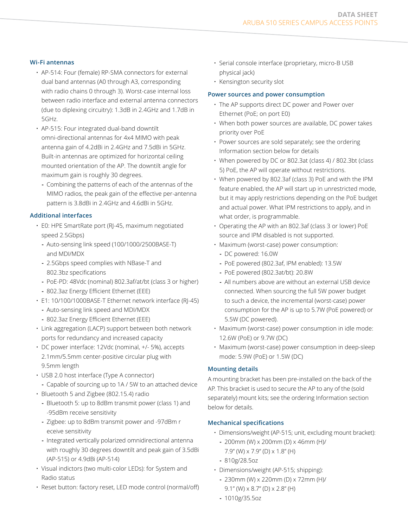## **Wi-Fi antennas**

- AP-514: Four (female) RP-SMA connectors for external dual band antennas (A0 through A3, corresponding with radio chains 0 through 3). Worst-case internal loss between radio interface and external antenna connectors (due to diplexing circuitry): 1.3dB in 2.4GHz and 1.7dB in 5GHz.
- AP-515: Four integrated dual-band downtilt omni-directional antennas for 4x4 MIMO with peak antenna gain of 4.2dBi in 2.4GHz and 7.5dBi in 5GHz. Built-in antennas are optimized for horizontal ceiling mounted orientation of the AP. The downtilt angle for maximum gain is roughly 30 degrees.
	- **-** Combining the patterns of each of the antennas of the MIMO radios, the peak gain of the effective per-antenna pattern is 3.8dBi in 2.4GHz and 4.6dBi in 5GHz.

## **Additional interfaces**

- E0: HPE SmartRate port (RJ-45, maximum negotiated speed 2.5Gbps)
	- **-** Auto-sensing link speed (100/1000/2500BASE-T) and MDI/MDX
	- **-** 2.5Gbps speed complies with NBase-T and 802.3bz specifications
	- **-** PoE-PD: 48Vdc (nominal) 802.3af/at/bt (class 3 or higher)
	- **-** 802.3az Energy Efficient Ethernet (EEE)
- E1: 10/100/1000BASE-T Ethernet network interface (RJ-45)
	- **-** Auto-sensing link speed and MDI/MDX
	- **-** 802.3az Energy Efficient Ethernet (EEE)
- Link aggregation (LACP) support between both network ports for redundancy and increased capacity
- DC power interface: 12Vdc (nominal, +/- 5%), accepts 2.1mm/5.5mm center-positive circular plug with 9.5mm length
- USB 2.0 host interface (Type A connector)
- **-** Capable of sourcing up to 1A / 5W to an attached device
- Bluetooth 5 and Zigbee (802.15.4) radio
	- **-** Bluetooth 5: up to 8dBm transmit power (class 1) and -95dBm receive sensitivity
	- **-** Zigbee: up to 8dBm transmit power and -97dBm r eceive sensitivity
	- **-** Integrated vertically polarized omnidirectional antenna with roughly 30 degrees downtilt and peak gain of 3.5dBi (AP-515) or 4.9dBi (AP-514)
- Visual indictors (two multi-color LEDs): for System and Radio status
- Reset button: factory reset, LED mode control (normal/off)
- Serial console interface (proprietary, micro-B USB physical jack)
- Kensington security slot

## **Power sources and power consumption**

- The AP supports direct DC power and Power over Ethernet (PoE; on port E0)
- When both power sources are available, DC power takes priority over PoE
- Power sources are sold separately; see the ordering Information section below for details
- When powered by DC or 802.3at (class 4) / 802.3bt (class 5) PoE, the AP will operate without restrictions.
- When powered by 802.3af (class 3) PoE and with the IPM feature enabled, the AP will start up in unrestricted mode, but it may apply restrictions depending on the PoE budget and actual power. What IPM restrictions to apply, and in what order, is programmable.
- Operating the AP with an 802.3af (class 3 or lower) PoE source and IPM disabled is not supported.
- Maximum (worst-case) power consumption:
	- **-** DC powered: 16.0W
	- **-** PoE powered (802.3af, IPM enabled): 13.5W
	- **-** PoE powered (802.3at/bt): 20.8W
	- **-** All numbers above are without an external USB device connected. When sourcing the full 5W power budget to such a device, the incremental (worst-case) power consumption for the AP is up to 5.7W (PoE powered) or 5.5W (DC powered).
- Maximum (worst-case) power consumption in idle mode: 12.6W (PoE) or 9.7W (DC)
- Maximum (worst-case) power consumption in deep-sleep mode: 5.9W (PoE) or 1.5W (DC)

## **Mounting details**

A mounting bracket has been pre-installed on the back of the AP. This bracket is used to secure the AP to any of the (sold separately) mount kits; see the ordering Information section below for details.

## **Mechanical specifications**

- Dimensions/weight (AP-515; unit, excluding mount bracket):
	- **-** 200mm (W) x 200mm (D) x 46mm (H)/
	- 7.9" (W) x 7.9" (D) x 1.8" (H)
	- **-** 810g/28.5oz
- Dimensions/weight (AP-515; shipping):
	- **-** 230mm (W) x 220mm (D) x 72mm (H)/ 9.1" (W) x 8.7" (D) x 2.8" (H)
	- **-** 1010g/35.5oz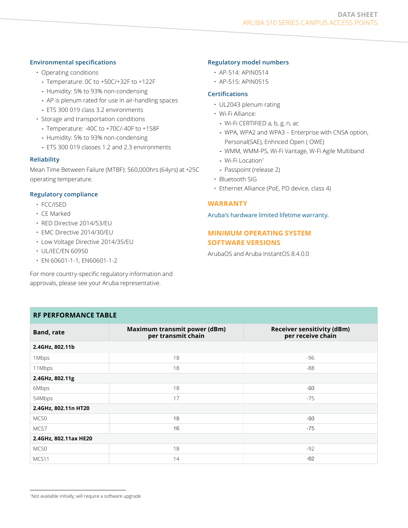## **Environmental specifications**

- Operating conditions
	- **-** Temperature: 0C to +50C/+32F to +122F
	- **-** Humidity: 5% to 93% non-condensing
	- **-** AP is plenum rated for use in air-handling spaces **-** ETS 300 019 class 3.2 environments
- Storage and transportation conditions
	- **-** Temperature: -40C to +70C/-40F to +158F
	- **-** Humidity: 5% to 93% non-condensing
	- **-** ETS 300 019 classes 1.2 and 2.3 environments

## **Reliability**

Mean Time Between Failure (MTBF): 560,000hrs (64yrs) at +25C operating temperature.

## **Regulatory compliance**

- FCC/ISED
- CE Marked
- RED Directive 2014/53/EU
- EMC Directive 2014/30/EU
- Low Voltage Directive 2014/35/EU
- UL/IEC/EN 60950
- EN 60601-1-1, EN60601-1-2

For more country-specific regulatory information and approvals, please see your Aruba representative.

## **Regulatory model numbers**

- AP-514: APIN0514
- AP-515: APIN0515

#### **Certifications**

- UL2043 plenum rating
- Wi-Fi Alliance:
	- **-** Wi-Fi CERTIFIED a, b, g, n, ac
	- **-** WPA, WPA2 and WPA3 Enterprise with CNSA option, Personal(SAE), Enhnced Open ( OWE)
	- **-** WMM, WMM-PS, Wi-Fi Vantage, W-Fi Agile Multiband
	- **-** Wi-Fi Location1
	- **-** Passpoint (release 2)
- Bluetooth SIG
- Ethernet Alliance (PoE, PD device, class 4)

## **WARRANTY**

#### [Aruba's hardware limited lifetime warranty.](https://www.arubanetworks.com/support-services/product-warranties/)

## **MINIMUM OPERATING SYSTEM SOFTWARE VERSIONS**

ArubaOS and Aruba InstantOS 8.4.0.0

| <b>RF PERFORMANCE TABLE</b> |                                                           |                                                        |  |  |
|-----------------------------|-----------------------------------------------------------|--------------------------------------------------------|--|--|
| <b>Band, rate</b>           | <b>Maximum transmit power (dBm)</b><br>per transmit chain | <b>Receiver sensitivity (dBm)</b><br>per receive chain |  |  |
| 2.4GHz, 802.11b             |                                                           |                                                        |  |  |
| 1Mbps                       | 18                                                        | $-96$                                                  |  |  |
| 11Mbps                      | 18                                                        | $-88$                                                  |  |  |
| 2.4GHz, 802.11g             |                                                           |                                                        |  |  |
| 6Mbps                       | 18                                                        | -93                                                    |  |  |
| 54Mbps                      | 17                                                        | $-75$                                                  |  |  |
| 2.4GHz, 802.11n HT20        |                                                           |                                                        |  |  |
| MCS <sub>0</sub>            | 18                                                        | -93                                                    |  |  |
| MCS7                        | 16                                                        | $-75$                                                  |  |  |
| 2.4GHz, 802.11ax HE20       |                                                           |                                                        |  |  |
| MCS <sub>0</sub>            | 18                                                        | $-92$                                                  |  |  |
| MCS11                       | 14                                                        | $-62$                                                  |  |  |

<sup>1</sup> Not available initially; will require a software upgrade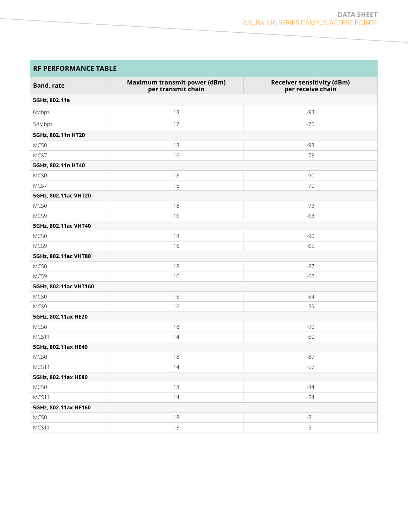## **RF PERFORMANCE TABLE**

| <b>Band, rate</b>     | Maximum transmit power (dBm)<br>per transmit chain | <b>Receiver sensitivity (dBm)</b><br>per receive chain |  |  |
|-----------------------|----------------------------------------------------|--------------------------------------------------------|--|--|
| 5GHz, 802.11a         |                                                    |                                                        |  |  |
| 6Mbps                 | 18                                                 | $-93$                                                  |  |  |
| 54Mbps                | 17                                                 | $-75$                                                  |  |  |
| 5GHz, 802.11n HT20    |                                                    |                                                        |  |  |
| MCS0                  | 18                                                 | $-93$                                                  |  |  |
| MCS7                  | 16                                                 | $-73$                                                  |  |  |
| 5GHz, 802.11n HT40    |                                                    |                                                        |  |  |
| MCS0                  | 18                                                 | $-90$                                                  |  |  |
| MCS7                  | 16                                                 | $-70$                                                  |  |  |
| 5GHz, 802.11ac VHT20  |                                                    |                                                        |  |  |
| MCS0                  | 18                                                 | $-93$                                                  |  |  |
| MCS9                  | 16                                                 | $-68$                                                  |  |  |
| 5GHz, 802.11ac VHT40  |                                                    |                                                        |  |  |
| MCS0                  | 18                                                 | $-90$                                                  |  |  |
| MCS9                  | 16                                                 | $-65$                                                  |  |  |
| 5GHz, 802.11ac VHT80  |                                                    |                                                        |  |  |
| MCS0                  | 18                                                 | $-87$                                                  |  |  |
| MCS9                  | 16                                                 | $-62$                                                  |  |  |
| 5GHz, 802.11ac VHT160 |                                                    |                                                        |  |  |
| MCS0                  | 18                                                 | $-84$                                                  |  |  |
| MCS9                  | 16                                                 | $-59$                                                  |  |  |
| 5GHz, 802.11ax HE20   |                                                    |                                                        |  |  |
| MCS0                  | 18                                                 | $-90$                                                  |  |  |
| MCS11                 | 14                                                 | $-60$                                                  |  |  |
| 5GHz, 802.11ax HE40   |                                                    |                                                        |  |  |
| MCS0                  | 18                                                 | $-87$                                                  |  |  |
| MCS11                 | 14                                                 | $-57$                                                  |  |  |
| 5GHz, 802.11ax HE80   |                                                    |                                                        |  |  |
| MCS0                  | $18\,$                                             | $-84$                                                  |  |  |
| MCS11                 | 14                                                 | $-54$                                                  |  |  |
| 5GHz, 802.11ax HE160  |                                                    |                                                        |  |  |
| MCS0                  | $18\,$                                             | $-81$                                                  |  |  |
| MCS11                 | 13                                                 | $-51$                                                  |  |  |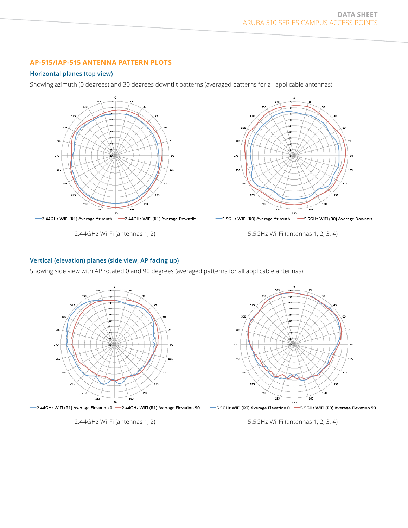## **AP-515/IAP-515 ANTENNA PATTERN PLOTS**

## **Horizontal planes (top view)**

Showing azimuth (0 degrees) and 30 degrees downtilt patterns (averaged patterns for all applicable antennas)



2.44GHz Wi-Fi (antennas 1, 2)



5.5GHz Wi-Fi (antennas 1, 2, 3, 4)

## **Vertical (elevation) planes (side view, AP facing up)**

Showing side view with AP rotated 0 and 90 degrees (averaged patterns for all applicable antennas)





5.5GHz Wi-Fi (antennas 1, 2, 3, 4)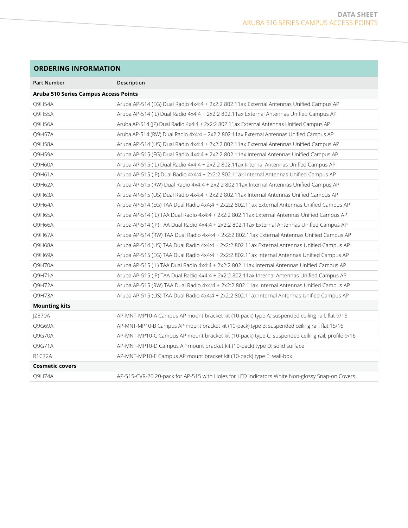## **ORDERING INFORMATION**

| <b>Part Number</b>                           | Description                                                                                      |  |  |  |
|----------------------------------------------|--------------------------------------------------------------------------------------------------|--|--|--|
| <b>Aruba 510 Series Campus Access Points</b> |                                                                                                  |  |  |  |
| Q9H54A                                       | Aruba AP-514 (EG) Dual Radio 4x4:4 + 2x2:2 802.11ax External Antennas Unified Campus AP          |  |  |  |
| Q9H55A                                       | Aruba AP-514 (IL) Dual Radio 4x4:4 + 2x2:2 802.11ax External Antennas Unified Campus AP          |  |  |  |
| Q9H56A                                       | Aruba AP-514 (JP) Dual Radio 4x4:4 + 2x2:2 802.11ax External Antennas Unified Campus AP          |  |  |  |
| <b>O9H57A</b>                                | Aruba AP-514 (RW) Dual Radio 4x4:4 + 2x2:2 802.11ax External Antennas Unified Campus AP          |  |  |  |
| O9H58A                                       | Aruba AP-514 (US) Dual Radio 4x4:4 + 2x2:2 802.11ax External Antennas Unified Campus AP          |  |  |  |
| Q9H59A                                       | Aruba AP-515 (EG) Dual Radio 4x4:4 + 2x2:2 802.11ax Internal Antennas Unified Campus AP          |  |  |  |
| Q9H60A                                       | Aruba AP-515 (IL) Dual Radio 4x4:4 + 2x2:2 802.11ax Internal Antennas Unified Campus AP          |  |  |  |
| Q9H61A                                       | Aruba AP-515 (JP) Dual Radio 4x4:4 + 2x2:2 802.11ax Internal Antennas Unified Campus AP          |  |  |  |
| O9H62A                                       | Aruba AP-515 (RW) Dual Radio 4x4:4 + 2x2:2 802.11ax Internal Antennas Unified Campus AP          |  |  |  |
| <b>O9H63A</b>                                | Aruba AP-515 (US) Dual Radio 4x4:4 + 2x2:2 802.11ax Internal Antennas Unified Campus AP          |  |  |  |
| Q9H64A                                       | Aruba AP-514 (EG) TAA Dual Radio 4x4:4 + 2x2:2 802.11ax External Antennas Unified Campus AP      |  |  |  |
| Q9H65A                                       | Aruba AP-514 (IL) TAA Dual Radio 4x4:4 + 2x2:2 802.11ax External Antennas Unified Campus AP      |  |  |  |
| Q9H66A                                       | Aruba AP-514 (JP) TAA Dual Radio 4x4:4 + 2x2:2 802.11ax External Antennas Unified Campus AP      |  |  |  |
| Q9H67A                                       | Aruba AP-514 (RW) TAA Dual Radio 4x4:4 + 2x2:2 802.11ax External Antennas Unified Campus AP      |  |  |  |
| Q9H68A                                       | Aruba AP-514 (US) TAA Dual Radio 4x4:4 + 2x2:2 802.11ax External Antennas Unified Campus AP      |  |  |  |
| Q9H69A                                       | Aruba AP-515 (EG) TAA Dual Radio 4x4:4 + 2x2:2 802.11ax Internal Antennas Unified Campus AP      |  |  |  |
| Q9H70A                                       | Aruba AP-515 (IL) TAA Dual Radio 4x4:4 + 2x2:2 802.11ax Internal Antennas Unified Campus AP      |  |  |  |
| <b>O9H71A</b>                                | Aruba AP-515 (JP) TAA Dual Radio 4x4:4 + 2x2:2 802.11ax Internal Antennas Unified Campus AP      |  |  |  |
| Q9H72A                                       | Aruba AP-515 (RW) TAA Dual Radio 4x4:4 + 2x2:2 802.11ax Internal Antennas Unified Campus AP      |  |  |  |
| Q9H73A                                       | Aruba AP-515 (US) TAA Dual Radio 4x4:4 + 2x2:2 802.11ax Internal Antennas Unified Campus AP      |  |  |  |
| <b>Mounting kits</b>                         |                                                                                                  |  |  |  |
| JZ370A                                       | AP-MNT-MP10-A Campus AP mount bracket kit (10-pack) type A: suspended ceiling rail, flat 9/16    |  |  |  |
| Q9G69A                                       | AP-MNT-MP10-B Campus AP mount bracket kit (10-pack) type B: suspended ceiling rail, flat 15/16   |  |  |  |
| <b>O9G70A</b>                                | AP-MNT-MP10-C Campus AP mount bracket kit (10-pack) type C: suspended ceiling rail, profile 9/16 |  |  |  |
| Q9G71A                                       | AP-MNT-MP10-D Campus AP mount bracket kit (10-pack) type D: solid surface                        |  |  |  |
| <b>R1C72A</b>                                | AP-MNT-MP10-E Campus AP mount bracket kit (10-pack) type E: wall-box                             |  |  |  |
| <b>Cosmetic covers</b>                       |                                                                                                  |  |  |  |
| Q9H74A                                       | AP-515-CVR-20 20-pack for AP-515 with Holes for LED Indicators White Non-glossy Snap-on Covers   |  |  |  |